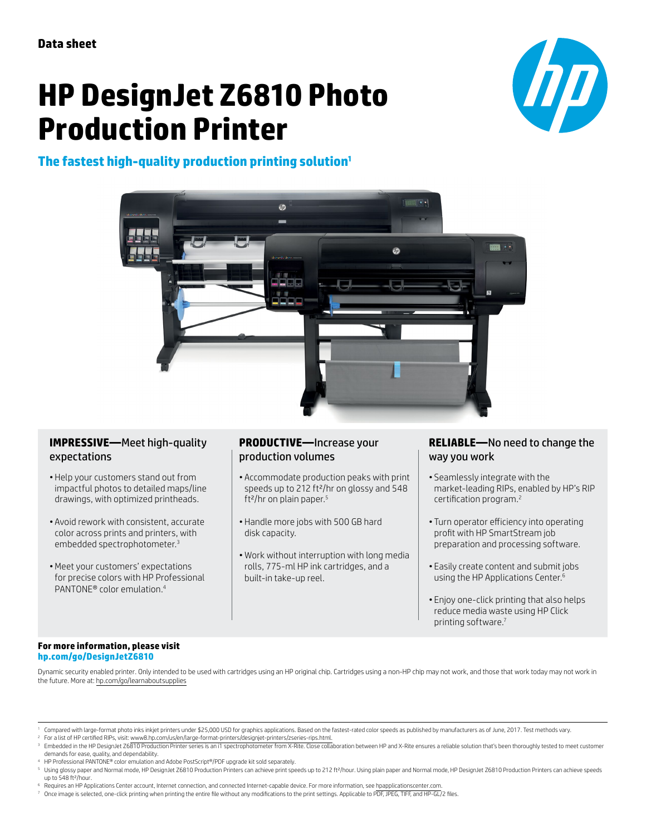# **HP DesignJet Z6810 Photo Production Printer**



# **The fastest high-quality production printing solution1**



#### **IMPRESSIVE—**Meet high-quality expectations

- Help your customers stand out from impactful photos to detailed maps/line drawings, with optimized printheads.
- Avoid rework with consistent, accurate color across prints and printers, with embedded spectrophotometer.3
- •Meet your customers' expectations for precise colors with HP Professional PANTONE® color emulation.4

### **PRODUCTIVE—**Increase your production volumes

- Accommodate production peaks with print speeds up to 212 ft²/hr on glossy and 548 ft²/hr on plain paper.5
- Handle more jobs with 500 GB hard disk capacity.
- Work without interruption with long media rolls, 775-ml HP ink cartridges, and a built-in take-up reel.

#### **RELIABLE—**No need to change the way you work

- Seamlessly integrate with the market-leading RIPs, enabled by HP's RIP certification program.<sup>2</sup>
- Turn operator efficiency into operating profit with HP SmartStream job preparation and processing software.
- Easily create content and submit jobs using the HP Applications Center.<sup>6</sup>
- Enjoy one-click printing that also helps reduce media waste using HP Click printing software.7

#### **For more information, please visit [hp.com/go/DesignJetZ6810](http://hp.com/go/DesignJetZ6810)**

Dynamic security enabled printer. Only intended to be used with cartridges using an HP original chip. Cartridges using a non-HP chip may not work, and those that work today may not work in the future. More at: [hp.com/go/learnaboutsupplies](http://)

<sup>2</sup> For a list of HP certified RIPs, visit: [www8.hp.com/us/en/large-format-printers/designjet-printers/zseries-rips.html.](http://www8.hp.com/us/en/large-format-printers/designjet-printers/zseries-rips.html)

<sup>4</sup> HP Professional PANTONE® color emulation and Adobe PostScript®/PDF upgrade kit sold separately.

- 
- 6 Requires an HP Applications Center account, Internet connection, and connected Internet-capable device. For more information, see [hpapplicationscenter.com](http://hpapplicationscenter.com).<br>7 Once image is selected, one-click printing when printing the e

Compared with large-format photo inks inkjet printers under \$25,000 USD for graphics applications. Based on the fastest-rated color speeds as published by manufacturers as of June, 2017. Test methods vary.

Embedded in the HP DesignJet Z6810 Production Printer series is an i1 spectrophotometer from X-Rite. Close collaboration between HP and X-Rite ensures a reliable solution that's been thoroughly tested to meet customer demands for ease, quality, and dependability.

<sup>&</sup>lt;sup>s</sup> Using glossy paper and Normal mode, HP DesignJet Z6810 Production Printers can achieve print speeds up to 212 ft?/hour. Using plain paper and Normal mode, HP DesignJet Z6810 Production Printers can achieve speeds<br>up